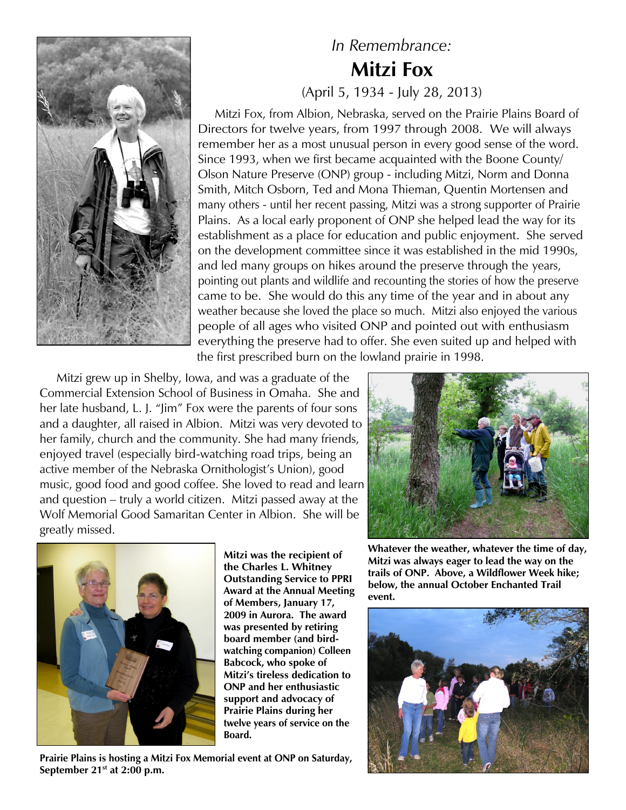

## *In Remembrance:* **Mitzi Fox** (April 5, 1934 - July 28, 2013)

 Mitzi Fox, from Albion, Nebraska, served on the Prairie Plains Board of Directors for twelve years, from 1997 through 2008. We will always remember her as a most unusual person in every good sense of the word. Since 1993, when we first became acquainted with the Boone County/ Olson Nature Preserve (ONP) group - including Mitzi, Norm and Donna Smith, Mitch Osborn, Ted and Mona Thieman, Quentin Mortensen and many others - until her recent passing, Mitzi was a strong supporter of Prairie Plains. As a local early proponent of ONP she helped lead the way for its establishment as a place for education and public enjoyment. She served on the development committee since it was established in the mid 1990s, and led many groups on hikes around the preserve through the years, pointing out plants and wildlife and recounting the stories of how the preserve came to be. She would do this any time of the year and in about any weather because she loved the place so much. Mitzi also enjoyed the various people of all ages who visited ONP and pointed out with enthusiasm everything the preserve had to offer. She even suited up and helped with the first prescribed burn on the lowland prairie in 1998.

 Mitzi grew up in Shelby, Iowa, and was a graduate of the Commercial Extension School of Business in Omaha. She and her late husband, L. J. "Jim" Fox were the parents of four sons and a daughter, all raised in Albion. Mitzi was very devoted to her family, church and the community. She had many friends, enjoyed travel (especially bird-watching road trips, being an active member of the Nebraska Ornithologist's Union), good music, good food and good coffee. She loved to read and learn and question – truly a world citizen. Mitzi passed away at the Wolf Memorial Good Samaritan Center in Albion. She will be greatly missed.



**Mitzi was the recipient of the Charles L. Whitney Outstanding Service to PPRI Award at the Annual Meeting of Members, January 17, 2009 in Aurora. The award was presented by retiring board member (and birdwatching companion) Colleen Babcock, who spoke of Mitzi's tireless dedication to ONP and her enthusiastic support and advocacy of Prairie Plains during her twelve years of service on the Board.**

**Prairie Plains is hosting a Mitzi Fox Memorial event at ONP on Saturday, September 21st at 2:00 p.m.**



**Whatever the weather, whatever the time of day, Mitzi was always eager to lead the way on the trails of ONP. Above, a Wildflower Week hike; below, the annual October Enchanted Trail event.**